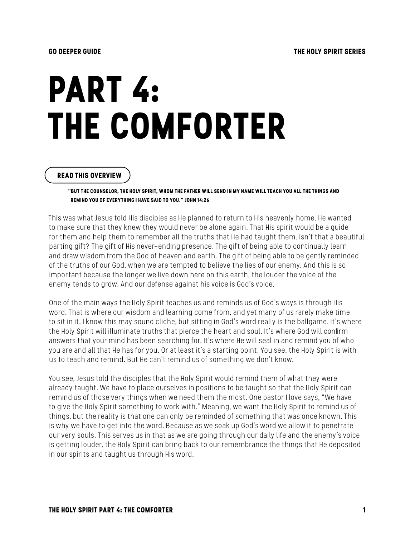# **PART 4: THE COMFORTER**

#### **READ THIS OVERVIEW**

**"BUT THE COUNSELOR, THE HOLY SPIRIT, WHOM THE FATHER WILL SEND IN MY NAME WILL TEACH YOU ALL THE THINGS AND REMIND YOU OF EVERYTHING I HAVE SAID TO YOU." JOHN 14:26**

This was what Jesus told His disciples as He planned to return to His heavenly home. He wanted to make sure that they knew they would never be alone again. That His spirit would be a guide for them and help them to remember all the truths that He had taught them. Isn't that a beautiful parting gift? The gift of His never-ending presence. The gift of being able to continually learn and draw wisdom from the God of heaven and earth. The gift of being able to be gently reminded of the truths of our God, when we are tempted to believe the lies of our enemy. And this is so important because the longer we live down here on this earth, the louder the voice of the enemy tends to grow. And our defense against his voice is God's voice.

One of the main ways the Holy Spirit teaches us and reminds us of God's ways is through His word. That is where our wisdom and learning come from, and yet many of us rarely make time to sit in it. I know this may sound cliche, but sitting in God's word really is the ballgame. It's where the Holy Spirit will illuminate truths that pierce the heart and soul. It's where God will confirm answers that your mind has been searching for. It's where He will seal in and remind you of who you are and all that He has for you. Or at least it's a starting point. You see, the Holy Spirit is with us to teach and remind. But He can't remind us of something we don't know.

You see, Jesus told the disciples that the Holy Spirit would remind them of what they were already taught. We have to place ourselves in positions to be taught so that the Holy Spirit can remind us of those very things when we need them the most. One pastor I love says, "We have to give the Holy Spirit something to work with." Meaning, we want the Holy Spirit to remind us of things, but the reality is that one can only be reminded of something that was once known. This is why we have to get into the word. Because as we soak up God's word we allow it to penetrate our very souls. This serves us in that as we are going through our daily life and the enemy's voice is getting louder, the Holy Spirit can bring back to our remembrance the things that He deposited in our spirits and taught us through His word.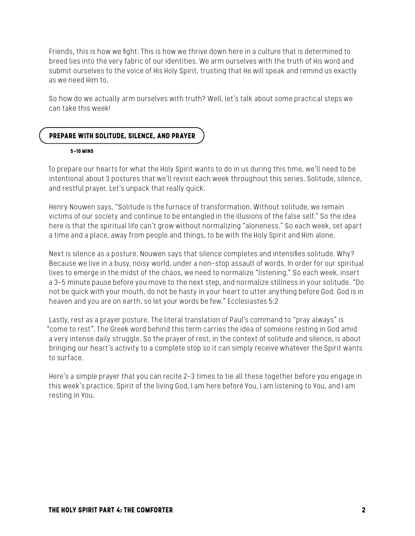Friends, this is how we fight. This is how we thrive down here in a culture that is determined to breed lies into the very fabric of our identities. We arm ourselves with the truth of His word and submit ourselves to the voice of His Holy Spirit, trusting that He will speak and remind us exactly as we need Him to.

So how do we actually arm ourselves with truth? Well, let's talk about some practical steps we can take this week!

# **PREPARE WITH SOLITUDE, SILENCE, AND PRAYER**

#### **5-10 MINS**

To prepare our hearts for what the Holy Spirit wants to do in us during this time, we'll need to be intentional about 3 postures that we'll revisit each week throughout this series. Solitude, silence, and restful prayer. Let's unpack that really quick.

Henry Nouwen says, "Solitude is the furnace of transformation. Without solitude, we remain victims of our society and continue to be entangled in the illusions of the false self." So the idea here is that the spiritual life can't grow without normalizing "aloneness." So each week, set apart a time and a place, away from people and things, to be with the Holy Spirit and Him alone.

Next is silence as a posture. Nouwen says that silence completes and intensifies solitude. Why? Because we live in a busy, noisy world, under a non-stop assault of words. In order for our spiritual lives to emerge in the midst of the chaos, we need to normalize "listening." So each week, insert a 3-5 minute pause before you move to the next step, and normalize stillness in your solitude. "Do not be quick with your mouth, do not be hasty in your heart to utter anything before God. God is in heaven and you are on earth, so let your words be few." Ecclesiastes 5:2

Lastly, rest as a prayer posture. The literal translation of Paul's command to "pray always" is "come to rest". The Greek word behind this term carries the idea of someone resting in God amid a very intense daily struggle. So the prayer of rest, in the context of solitude and silence, is about bringing our heart's activity to a complete stop so it can simply receive whatever the Spirit wants to surface.

Here's a simple prayer that you can recite 2-3 times to tie all these together before you engage in this week's practice. Spirit of the living God, I am here before You, I am listening to You, and I am resting in You.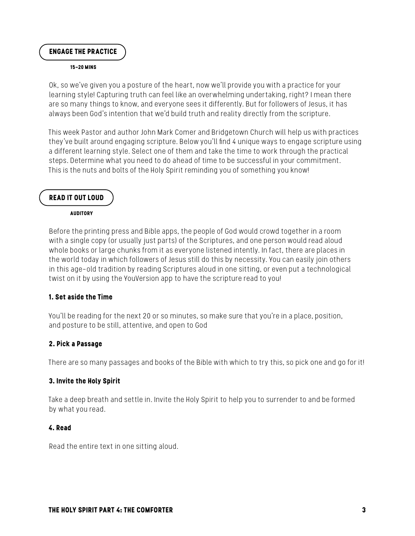**ENGAGE THE PRACTICE** 

#### **15-20 MINS**

Ok, so we've given you a posture of the heart, now we'll provide you with a practice for your learning style! Capturing truth can feel like an overwhelming undertaking, right? I mean there are so many things to know, and everyone sees it differently. But for followers of Jesus, it has always been God's intention that we'd build truth and reality directly from the scripture.

This week Pastor and author John Mark Comer and Bridgetown Church will help us with practices they've built around engaging scripture. Below you'll find 4 unique ways to engage scripture using a different learning style. Select one of them and take the time to work through the practical steps. Determine what you need to do ahead of time to be successful in your commitment. This is the nuts and bolts of the Holy Spirit reminding you of something you know!

#### **READ IT OUT LOUD**

**AUDITORY**

Before the printing press and Bible apps, the people of God would crowd together in a room with a single copy (or usually just parts) of the Scriptures, and one person would read aloud whole books or large chunks from it as everyone listened intently. In fact, there are places in the world today in which followers of Jesus still do this by necessity. You can easily join others in this age-old tradition by reading Scriptures aloud in one sitting, or even put a technological twist on it by using the YouVersion app to have the scripture read to you!

#### **1. Set aside the Time**

You'll be reading for the next 20 or so minutes, so make sure that you're in a place, position, and posture to be still, attentive, and open to God

#### **2. Pick a Passage**

There are so many passages and books of the Bible with which to try this, so pick one and go for it!

#### **3. Invite the Holy Spirit**

Take a deep breath and settle in. Invite the Holy Spirit to help you to surrender to and be formed by what you read.

#### **4. Read**

Read the entire text in one sitting aloud.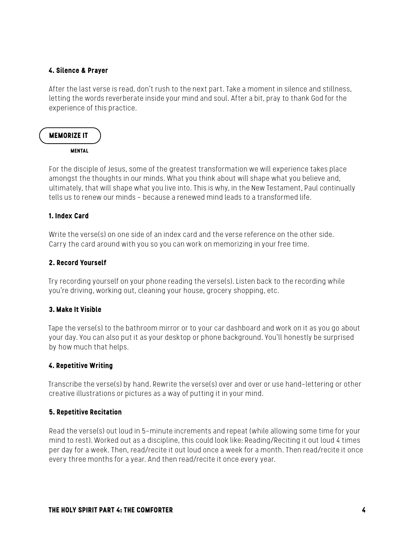#### **4. Silence & Prayer**

After the last verse is read, don't rush to the next part. Take a moment in silence and stillness, letting the words reverberate inside your mind and soul. After a bit, pray to thank God for the experience of this practice.

# **MEMORIZE IT MENTAL**

For the disciple of Jesus, some of the greatest transformation we will experience takes place amongst the thoughts in our minds. What you think about will shape what you believe and, ultimately, that will shape what you live into. This is why, in the New Testament, Paul continually tells us to renew our minds – because a renewed mind leads to a transformed life.

# **1. Index Card**

Write the verse(s) on one side of an index card and the verse reference on the other side. Carry the card around with you so you can work on memorizing in your free time.

#### **2. Record Yourself**

Try recording yourself on your phone reading the verse(s). Listen back to the recording while you're driving, working out, cleaning your house, grocery shopping, etc.

# **3. Make It Visible**

Tape the verse(s) to the bathroom mirror or to your car dashboard and work on it as you go about your day. You can also put it as your desktop or phone background. You'll honestly be surprised by how much that helps.

#### **4. Repetitive Writing**

Transcribe the verse(s) by hand. Rewrite the verse(s) over and over or use hand-lettering or other creative illustrations or pictures as a way of putting it in your mind.

#### **5. Repetitive Recitation**

Read the verse(s) out loud in 5-minute increments and repeat (while allowing some time for your mind to rest). Worked out as a discipline, this could look like: Reading/Reciting it out loud 4 times per day for a week. Then, read/recite it out loud once a week for a month. Then read/recite it once every three months for a year. And then read/recite it once every year.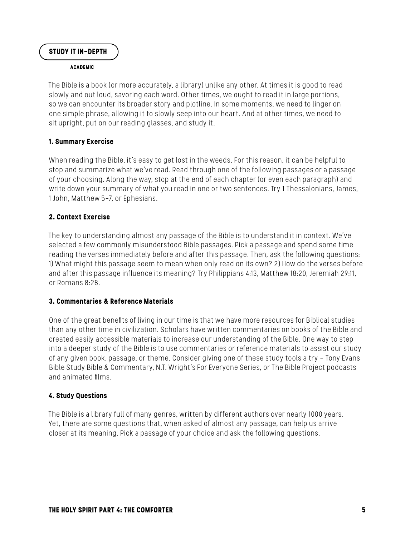### **STUDY IT IN-DEPTH**

#### **ACADEMIC**

The Bible is a book (or more accurately, a library) unlike any other. At times it is good to read slowly and out loud, savoring each word. Other times, we ought to read it in large portions, so we can encounter its broader story and plotline. In some moments, we need to linger on one simple phrase, allowing it to slowly seep into our heart. And at other times, we need to sit upright, put on our reading glasses, and study it.

#### **1. Summary Exercise**

When reading the Bible, it's easy to get lost in the weeds. For this reason, it can be helpful to stop and summarize what we've read. Read through one of the following passages or a passage of your choosing. Along the way, stop at the end of each chapter (or even each paragraph) and write down your summary of what you read in one or two sentences. Try 1 Thessalonians, James, 1 John, Matthew 5-7, or Ephesians.

#### **2. Context Exercise**

The key to understanding almost any passage of the Bible is to understand it in context. We've selected a few commonly misunderstood Bible passages. Pick a passage and spend some time reading the verses immediately before and after this passage. Then, ask the following questions: 1) What might this passage seem to mean when only read on its own? 2) How do the verses before and after this passage influence its meaning? Try Philippians 4:13, Matthew 18:20, Jeremiah 29:11, or Romans 8:28.

#### **3. Commentaries & Reference Materials**

One of the great benefits of living in our time is that we have more resources for Biblical studies than any other time in civilization. Scholars have written commentaries on books of the Bible and created easily accessible materials to increase our understanding of the Bible. One way to step into a deeper study of the Bible is to use commentaries or reference materials to assist our study of any given book, passage, or theme. Consider giving one of these study tools a try - Tony Evans Bible Study Bible & Commentary, N.T. Wright's For Everyone Series, or The Bible Project podcasts and animated films.

#### **4. Study Questions**

The Bible is a library full of many genres, written by different authors over nearly 1000 years. Yet, there are some questions that, when asked of almost any passage, can help us arrive closer at its meaning. Pick a passage of your choice and ask the following questions.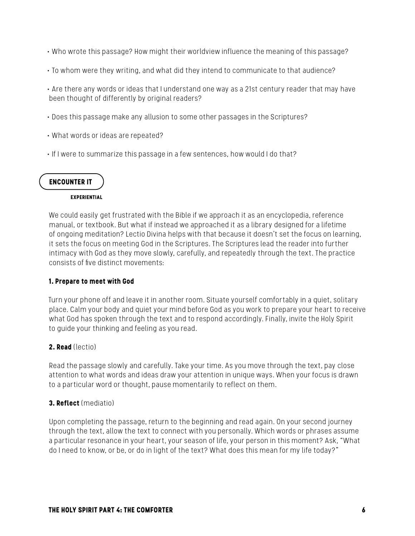- Who wrote this passage? How might their worldview influence the meaning of this passage?
- To whom were they writing, and what did they intend to communicate to that audience?
- Are there any words or ideas that I understand one way as a 21st century reader that may have been thought of differently by original readers?
- Does this passage make any allusion to some other passages in the Scriptures?
- What words or ideas are repeated?
- If I were to summarize this passage in a few sentences, how would I do that?

# **ENCOUNTER IT**

#### **EXPERIENTIAL**

We could easily get frustrated with the Bible if we approach it as an encyclopedia, reference manual, or textbook. But what if instead we approached it as a library designed for a lifetime of ongoing meditation? Lectio Divina helps with that because it doesn't set the focus on learning, it sets the focus on meeting God in the Scriptures. The Scriptures lead the reader into further intimacy with God as they move slowly, carefully, and repeatedly through the text. The practice consists of five distinct movements:

#### **1. Prepare to meet with God**

Turn your phone off and leave it in another room. Situate yourself comfortably in a quiet, solitary place. Calm your body and quiet your mind before God as you work to prepare your heart to receive what God has spoken through the text and to respond accordingly. Finally, invite the Holy Spirit to guide your thinking and feeling as you read.

# **2. Read** (lectio)

Read the passage slowly and carefully. Take your time. As you move through the text, pay close attention to what words and ideas draw your attention in unique ways. When your focus is drawn to a particular word or thought, pause momentarily to reflect on them.

# **3. Reflect** (mediatio)

Upon completing the passage, return to the beginning and read again. On your second journey through the text, allow the text to connect with you personally. Which words or phrases assume a particular resonance in your heart, your season of life, your person in this moment? Ask, "What do I need to know, or be, or do in light of the text? What does this mean for my life today?"